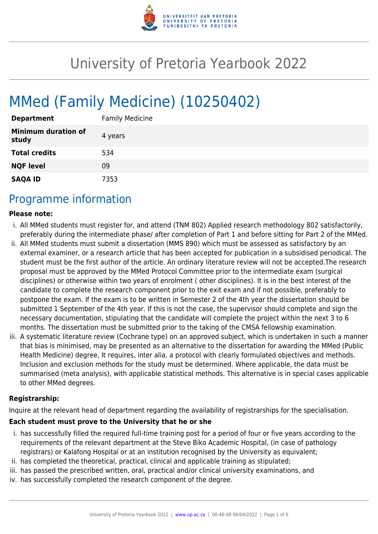

# University of Pretoria Yearbook 2022

# MMed (Family Medicine) (10250402)

| <b>Department</b>                   | <b>Family Medicine</b> |
|-------------------------------------|------------------------|
| <b>Minimum duration of</b><br>study | 4 years                |
| <b>Total credits</b>                | 534                    |
| <b>NQF level</b>                    | 09                     |
| <b>SAQA ID</b>                      | 7353                   |

## Programme information

#### **Please note:**

- i. All MMed students must register for, and attend (TNM 802) Applied research methodology 802 satisfactorily, preferably during the intermediate phase/ after completion of Part 1 and before sitting for Part 2 of the MMed.
- ii. All MMed students must submit a dissertation (MMS 890) which must be assessed as satisfactory by an external examiner, or a research article that has been accepted for publication in a subsidised periodical. The student must be the first author of the article. An ordinary literature review will not be accepted.The research proposal must be approved by the MMed Protocol Committee prior to the intermediate exam (surgical disciplines) or otherwise within two years of enrolment ( other disciplines). It is in the best interest of the candidate to complete the research component prior to the exit exam and if not possible, preferably to postpone the exam. If the exam is to be written in Semester 2 of the 4th year the dissertation should be submitted 1 September of the 4th year. If this is not the case, the supervisor should complete and sign the necessary documentation, stipulating that the candidate will complete the project within the next 3 to 6 months. The dissertation must be submitted prior to the taking of the CMSA fellowship examination.
- iii. A systematic literature review (Cochrane type) on an approved subject, which is undertaken in such a manner that bias is minimised, may be presented as an alternative to the dissertation for awarding the MMed (Public Health Medicine) degree, It requires, inter alia, a protocol with clearly formulated objectives and methods. Inclusion and exclusion methods for the study must be determined. Where applicable, the data must be summarised (meta analysis), with applicable statistical methods. This alternative is in special cases applicable to other MMed degrees.

#### **Registrarship:**

Inquire at the relevant head of department regarding the availability of registrarships for the specialisation.

#### **Each student must prove to the University that he or she**

- i. has successfully filled the required full-time training post for a period of four or five years according to the requirements of the relevant department at the Steve Biko Academic Hospital, (in case of pathology registrars) or Kalafong Hospital or at an institution recognised by the University as equivalent;
- ii. has completed the theoretical, practical, clinical and applicable training as stipulated;
- iii. has passed the prescribed written, oral, practical and/or clinical university examinations, and
- iv. has successfully completed the research component of the degree.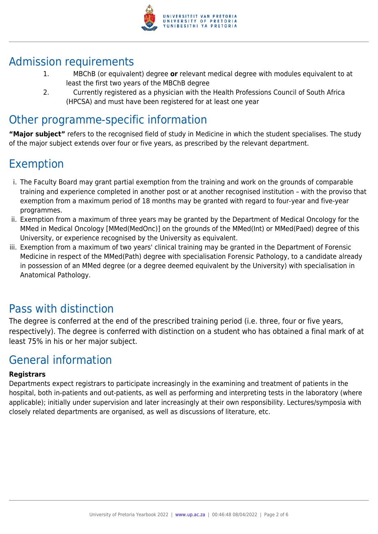

## Admission requirements

- 1. MBChB (or equivalent) degree **or** relevant medical degree with modules equivalent to at least the first two years of the MBChB degree
- 2. Currently registered as a physician with the Health Professions Council of South Africa (HPCSA) and must have been registered for at least one year

## Other programme-specific information

**"Major subject"** refers to the recognised field of study in Medicine in which the student specialises. The study of the major subject extends over four or five years, as prescribed by the relevant department.

## Exemption

- i. The Faculty Board may grant partial exemption from the training and work on the grounds of comparable training and experience completed in another post or at another recognised institution – with the proviso that exemption from a maximum period of 18 months may be granted with regard to four-year and five-year programmes.
- ii. Exemption from a maximum of three years may be granted by the Department of Medical Oncology for the MMed in Medical Oncology [MMed(MedOnc)] on the grounds of the MMed(Int) or MMed(Paed) degree of this University, or experience recognised by the University as equivalent.
- iii. Exemption from a maximum of two years' clinical training may be granted in the Department of Forensic Medicine in respect of the MMed(Path) degree with specialisation Forensic Pathology, to a candidate already in possession of an MMed degree (or a degree deemed equivalent by the University) with specialisation in Anatomical Pathology.

## Pass with distinction

The degree is conferred at the end of the prescribed training period (i.e. three, four or five years, respectively). The degree is conferred with distinction on a student who has obtained a final mark of at least 75% in his or her major subject.

## General information

### **Registrars**

Departments expect registrars to participate increasingly in the examining and treatment of patients in the hospital, both in-patients and out-patients, as well as performing and interpreting tests in the laboratory (where applicable); initially under supervision and later increasingly at their own responsibility. Lectures/symposia with closely related departments are organised, as well as discussions of literature, etc.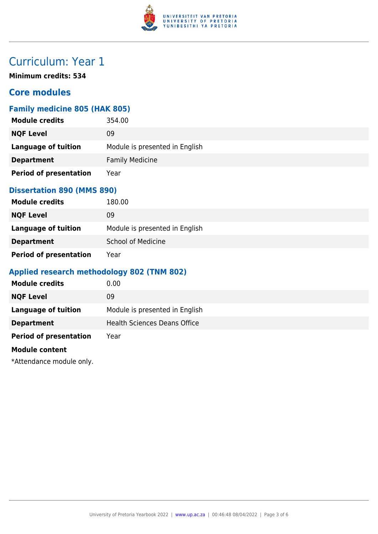

## Curriculum: Year 1

**Minimum credits: 534**

## **Core modules**

### **Family medicine 805 (HAK 805)**

| <b>Module credits</b>         | 354.00                         |
|-------------------------------|--------------------------------|
| <b>NQF Level</b>              | 09                             |
| Language of tuition           | Module is presented in English |
| <b>Department</b>             | <b>Family Medicine</b>         |
| <b>Period of presentation</b> | Year                           |

#### **Dissertation 890 (MMS 890)**

| <b>Module credits</b>         | 180.00                         |
|-------------------------------|--------------------------------|
| <b>NQF Level</b>              | 09                             |
| Language of tuition           | Module is presented in English |
| <b>Department</b>             | <b>School of Medicine</b>      |
| <b>Period of presentation</b> | Year                           |

### **Applied research methodology 802 (TNM 802)**

| <b>Module credits</b>         | 0.00                                |
|-------------------------------|-------------------------------------|
| <b>NQF Level</b>              | 09                                  |
| Language of tuition           | Module is presented in English      |
| <b>Department</b>             | <b>Health Sciences Deans Office</b> |
| <b>Period of presentation</b> | Year                                |
|                               |                                     |

#### **Module content**

\*Attendance module only.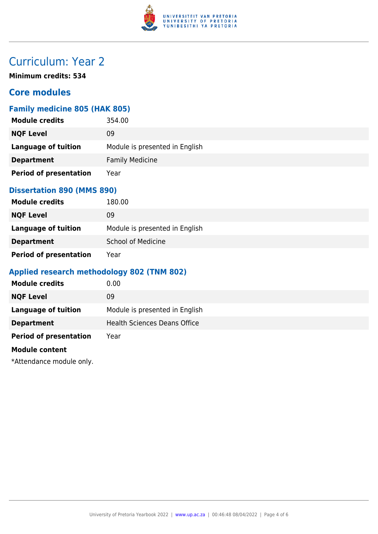

## Curriculum: Year 2

**Minimum credits: 534**

## **Core modules**

### **Family medicine 805 (HAK 805)**

| <b>Module credits</b>         | 354.00                         |
|-------------------------------|--------------------------------|
| <b>NQF Level</b>              | 09                             |
| Language of tuition           | Module is presented in English |
| <b>Department</b>             | <b>Family Medicine</b>         |
| <b>Period of presentation</b> | Year                           |

#### **Dissertation 890 (MMS 890)**

| <b>Module credits</b>         | 180.00                         |
|-------------------------------|--------------------------------|
| <b>NQF Level</b>              | 09                             |
| Language of tuition           | Module is presented in English |
| <b>Department</b>             | <b>School of Medicine</b>      |
| <b>Period of presentation</b> | Year                           |

### **Applied research methodology 802 (TNM 802)**

| <b>Module credits</b>         | 0.00                                |
|-------------------------------|-------------------------------------|
| <b>NQF Level</b>              | 09                                  |
| Language of tuition           | Module is presented in English      |
| <b>Department</b>             | <b>Health Sciences Deans Office</b> |
| <b>Period of presentation</b> | Year                                |
|                               |                                     |

#### **Module content**

\*Attendance module only.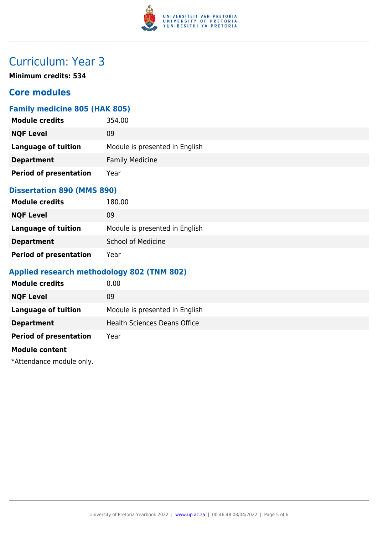

## Curriculum: Year 3

**Minimum credits: 534**

## **Core modules**

### **Family medicine 805 (HAK 805)**

| <b>Module credits</b>         | 354.00                         |
|-------------------------------|--------------------------------|
| <b>NQF Level</b>              | 09                             |
| <b>Language of tuition</b>    | Module is presented in English |
| <b>Department</b>             | <b>Family Medicine</b>         |
| <b>Period of presentation</b> | Year                           |

### **Dissertation 890 (MMS 890)**

| <b>Module credits</b>         | 180.00                         |
|-------------------------------|--------------------------------|
| <b>NQF Level</b>              | 09                             |
| Language of tuition           | Module is presented in English |
| <b>Department</b>             | <b>School of Medicine</b>      |
| <b>Period of presentation</b> | Year                           |

### **Applied research methodology 802 (TNM 802)**

| <b>Module credits</b>         | 0.00                                |
|-------------------------------|-------------------------------------|
| <b>NQF Level</b>              | 09                                  |
| Language of tuition           | Module is presented in English      |
| <b>Department</b>             | <b>Health Sciences Deans Office</b> |
| <b>Period of presentation</b> | Year                                |
|                               |                                     |

#### **Module content**

\*Attendance module only.